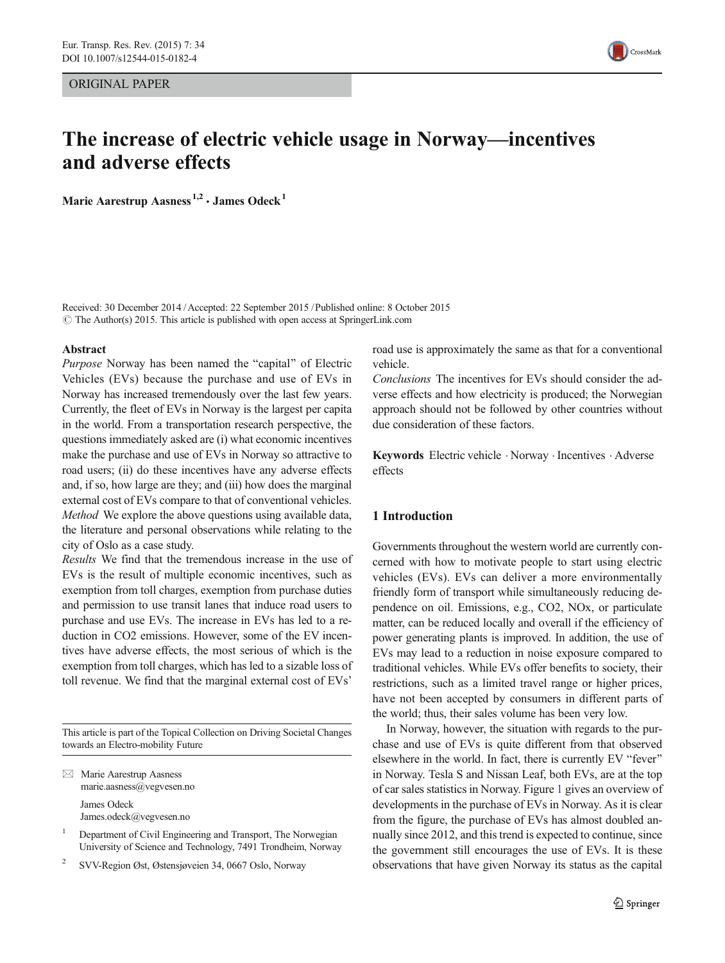ORIGINAL PAPER

CrossMark

# The increase of electric vehicle usage in Norway—incentives and adverse effects

Marie Aarestrup Aasness<sup>1,2</sup> · James Odeck<sup>1</sup>

Received: 30 December 2014 /Accepted: 22 September 2015 /Published online: 8 October 2015  $\odot$  The Author(s) 2015. This article is published with open access at SpringerLink.com

#### Abstract

Purpose Norway has been named the "capital" of Electric Vehicles (EVs) because the purchase and use of EVs in Norway has increased tremendously over the last few years. Currently, the fleet of EVs in Norway is the largest per capita in the world. From a transportation research perspective, the questions immediately asked are (i) what economic incentives make the purchase and use of EVs in Norway so attractive to road users; (ii) do these incentives have any adverse effects and, if so, how large are they; and (iii) how does the marginal external cost of EVs compare to that of conventional vehicles. Method We explore the above questions using available data, the literature and personal observations while relating to the city of Oslo as a case study.

Results We find that the tremendous increase in the use of EVs is the result of multiple economic incentives, such as exemption from toll charges, exemption from purchase duties and permission to use transit lanes that induce road users to purchase and use EVs. The increase in EVs has led to a reduction in CO2 emissions. However, some of the EV incentives have adverse effects, the most serious of which is the exemption from toll charges, which has led to a sizable loss of toll revenue. We find that the marginal external cost of EVs'

This article is part of the Topical Collection on Driving Societal Changes towards an Electro-mobility Future

 $\boxtimes$  Marie Aarestrup Aasness marie.aasness@vegvesen.no James Odeck James.odeck@vegvesen.no

<sup>1</sup> Department of Civil Engineering and Transport, The Norwegian University of Science and Technology, 7491 Trondheim, Norway

<sup>2</sup> SVV-Region Øst, Østensjøveien 34, 0667 Oslo, Norway

road use is approximately the same as that for a conventional vehicle.

Conclusions The incentives for EVs should consider the adverse effects and how electricity is produced; the Norwegian approach should not be followed by other countries without due consideration of these factors.

Keywords Electric vehicle . Norway . Incentives . Adverse effects

# 1 Introduction

Governments throughout the western world are currently concerned with how to motivate people to start using electric vehicles (EVs). EVs can deliver a more environmentally friendly form of transport while simultaneously reducing dependence on oil. Emissions, e.g., CO2, NOx, or particulate matter, can be reduced locally and overall if the efficiency of power generating plants is improved. In addition, the use of EVs may lead to a reduction in noise exposure compared to traditional vehicles. While EVs offer benefits to society, their restrictions, such as a limited travel range or higher prices, have not been accepted by consumers in different parts of the world; thus, their sales volume has been very low.

In Norway, however, the situation with regards to the purchase and use of EVs is quite different from that observed elsewhere in the world. In fact, there is currently EV "fever" in Norway. Tesla S and Nissan Leaf, both EVs, are at the top of car sales statistics in Norway. Figure [1](#page-1-0) gives an overview of developments in the purchase of EVs in Norway. As it is clear from the figure, the purchase of EVs has almost doubled annually since 2012, and this trend is expected to continue, since the government still encourages the use of EVs. It is these observations that have given Norway its status as the capital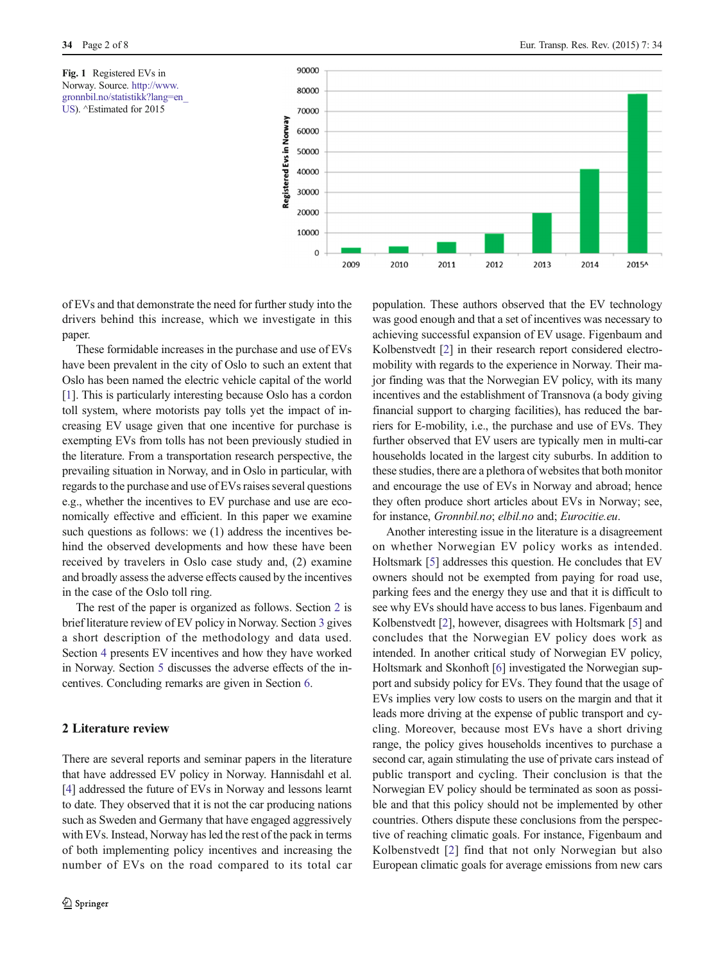<span id="page-1-0"></span>Fig. 1 Registered EVs in Norway. Source. [http://www.](http://wsdomino.eurocities.eu/eurocities/news/Oslo-electric-vehicle-capital-of-the-world-WSPO-9R6ECM) [gronnbil.no/statistikk?lang=en\\_](http://wsdomino.eurocities.eu/eurocities/news/Oslo-electric-vehicle-capital-of-the-world-WSPO-9R6ECM) [US\)](http://wsdomino.eurocities.eu/eurocities/news/Oslo-electric-vehicle-capital-of-the-world-WSPO-9R6ECM). ^Estimated for 2015



of EVs and that demonstrate the need for further study into the drivers behind this increase, which we investigate in this paper.

These formidable increases in the purchase and use of EVs have been prevalent in the city of Oslo to such an extent that Oslo has been named the electric vehicle capital of the world [\[1](#page-7-0)]. This is particularly interesting because Oslo has a cordon toll system, where motorists pay tolls yet the impact of increasing EV usage given that one incentive for purchase is exempting EVs from tolls has not been previously studied in the literature. From a transportation research perspective, the prevailing situation in Norway, and in Oslo in particular, with regards to the purchase and use of EVs raises several questions e.g., whether the incentives to EV purchase and use are economically effective and efficient. In this paper we examine such questions as follows: we (1) address the incentives behind the observed developments and how these have been received by travelers in Oslo case study and, (2) examine and broadly assess the adverse effects caused by the incentives in the case of the Oslo toll ring.

The rest of the paper is organized as follows. Section 2 is brief literature review of EV policy in Norway. Section [3](#page-2-0) gives a short description of the methodology and data used. Section [4](#page-2-0) presents EV incentives and how they have worked in Norway. Section [5](#page-5-0) discusses the adverse effects of the incentives. Concluding remarks are given in Section [6.](#page-7-0)

# 2 Literature review

There are several reports and seminar papers in the literature that have addressed EV policy in Norway. Hannisdahl et al. [\[4](#page-7-0)] addressed the future of EVs in Norway and lessons learnt to date. They observed that it is not the car producing nations such as Sweden and Germany that have engaged aggressively with EVs. Instead, Norway has led the rest of the pack in terms of both implementing policy incentives and increasing the number of EVs on the road compared to its total car population. These authors observed that the EV technology was good enough and that a set of incentives was necessary to achieving successful expansion of EV usage. Figenbaum and Kolbenstvedt [\[2](#page-7-0)] in their research report considered electromobility with regards to the experience in Norway. Their major finding was that the Norwegian EV policy, with its many incentives and the establishment of Transnova (a body giving financial support to charging facilities), has reduced the barriers for E-mobility, i.e., the purchase and use of EVs. They further observed that EV users are typically men in multi-car households located in the largest city suburbs. In addition to these studies, there are a plethora of websites that both monitor and encourage the use of EVs in Norway and abroad; hence they often produce short articles about EVs in Norway; see, for instance, Gronnbil.no; elbil.no and; Eurocitie.eu.

Another interesting issue in the literature is a disagreement on whether Norwegian EV policy works as intended. Holtsmark [\[5\]](#page-7-0) addresses this question. He concludes that EV owners should not be exempted from paying for road use, parking fees and the energy they use and that it is difficult to see why EVs should have access to bus lanes. Figenbaum and Kolbenstvedt [[2](#page-7-0)], however, disagrees with Holtsmark [\[5](#page-7-0)] and concludes that the Norwegian EV policy does work as intended. In another critical study of Norwegian EV policy, Holtsmark and Skonhoft [[6](#page-7-0)] investigated the Norwegian support and subsidy policy for EVs. They found that the usage of EVs implies very low costs to users on the margin and that it leads more driving at the expense of public transport and cycling. Moreover, because most EVs have a short driving range, the policy gives households incentives to purchase a second car, again stimulating the use of private cars instead of public transport and cycling. Their conclusion is that the Norwegian EV policy should be terminated as soon as possible and that this policy should not be implemented by other countries. Others dispute these conclusions from the perspective of reaching climatic goals. For instance, Figenbaum and Kolbenstvedt [[2\]](#page-7-0) find that not only Norwegian but also European climatic goals for average emissions from new cars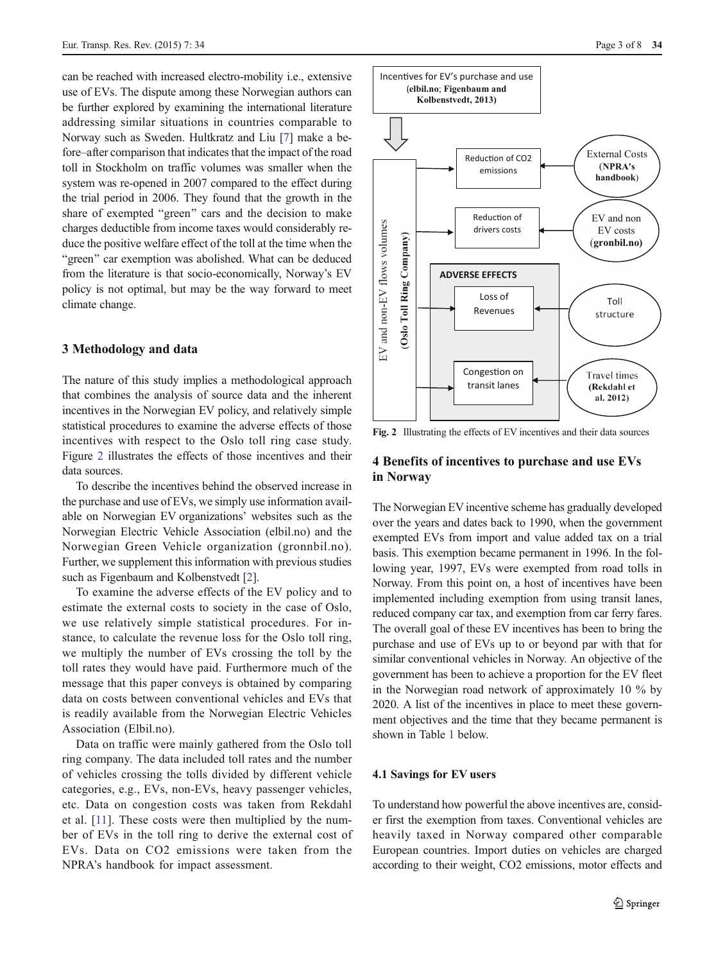<span id="page-2-0"></span>can be reached with increased electro-mobility i.e., extensive use of EVs. The dispute among these Norwegian authors can be further explored by examining the international literature addressing similar situations in countries comparable to Norway such as Sweden. Hultkratz and Liu [\[7\]](#page-7-0) make a before–after comparison that indicates that the impact of the road toll in Stockholm on traffic volumes was smaller when the system was re-opened in 2007 compared to the effect during the trial period in 2006. They found that the growth in the share of exempted "green" cars and the decision to make charges deductible from income taxes would considerably reduce the positive welfare effect of the toll at the time when the "green" car exemption was abolished. What can be deduced from the literature is that socio-economically, Norway's EV policy is not optimal, but may be the way forward to meet climate change.

### 3 Methodology and data

The nature of this study implies a methodological approach that combines the analysis of source data and the inherent incentives in the Norwegian EV policy, and relatively simple statistical procedures to examine the adverse effects of those incentives with respect to the Oslo toll ring case study. Figure 2 illustrates the effects of those incentives and their data sources.

To describe the incentives behind the observed increase in the purchase and use of EVs, we simply use information available on Norwegian EV organizations' websites such as the Norwegian Electric Vehicle Association (elbil.no) and the Norwegian Green Vehicle organization (gronnbil.no). Further, we supplement this information with previous studies such as Figenbaum and Kolbenstvedt [[2\]](#page-7-0).

To examine the adverse effects of the EV policy and to estimate the external costs to society in the case of Oslo, we use relatively simple statistical procedures. For instance, to calculate the revenue loss for the Oslo toll ring, we multiply the number of EVs crossing the toll by the toll rates they would have paid. Furthermore much of the message that this paper conveys is obtained by comparing data on costs between conventional vehicles and EVs that is readily available from the Norwegian Electric Vehicles Association (Elbil.no).

Data on traffic were mainly gathered from the Oslo toll ring company. The data included toll rates and the number of vehicles crossing the tolls divided by different vehicle categories, e.g., EVs, non-EVs, heavy passenger vehicles, etc. Data on congestion costs was taken from Rekdahl et al. [[11](#page-7-0)]. These costs were then multiplied by the number of EVs in the toll ring to derive the external cost of EVs. Data on CO2 emissions were taken from the NPRA's handbook for impact assessment.



Fig. 2 Illustrating the effects of EV incentives and their data sources

# 4 Benefits of incentives to purchase and use EVs in Norway

The Norwegian EV incentive scheme has gradually developed over the years and dates back to 1990, when the government exempted EVs from import and value added tax on a trial basis. This exemption became permanent in 1996. In the following year, 1997, EVs were exempted from road tolls in Norway. From this point on, a host of incentives have been implemented including exemption from using transit lanes, reduced company car tax, and exemption from car ferry fares. The overall goal of these EV incentives has been to bring the purchase and use of EVs up to or beyond par with that for similar conventional vehicles in Norway. An objective of the government has been to achieve a proportion for the EV fleet in the Norwegian road network of approximately 10 % by 2020. A list of the incentives in place to meet these government objectives and the time that they became permanent is shown in Table [1](#page-3-0) below.

#### 4.1 Savings for EV users

To understand how powerful the above incentives are, consider first the exemption from taxes. Conventional vehicles are heavily taxed in Norway compared other comparable European countries. Import duties on vehicles are charged according to their weight, CO2 emissions, motor effects and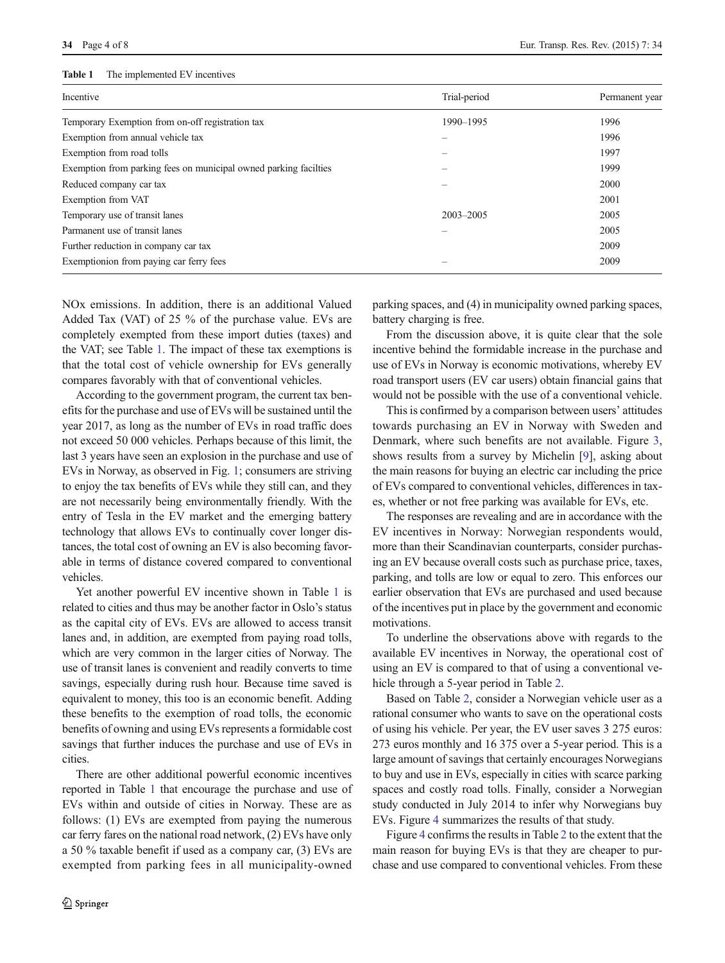#### <span id="page-3-0"></span>Table 1 The implemented EV incentives

| Trial-period  | Permanent year |
|---------------|----------------|
| 1990-1995     | 1996           |
|               | 1996           |
|               | 1997           |
|               | 1999           |
|               | 2000           |
|               | 2001           |
| $2003 - 2005$ | 2005           |
|               | 2005           |
|               | 2009           |
|               | 2009           |
|               |                |

NOx emissions. In addition, there is an additional Valued Added Tax (VAT) of 25 % of the purchase value. EVs are completely exempted from these import duties (taxes) and the VAT; see Table 1. The impact of these tax exemptions is that the total cost of vehicle ownership for EVs generally compares favorably with that of conventional vehicles.

According to the government program, the current tax benefits for the purchase and use of EVs will be sustained until the year 2017, as long as the number of EVs in road traffic does not exceed 50 000 vehicles. Perhaps because of this limit, the last 3 years have seen an explosion in the purchase and use of EVs in Norway, as observed in Fig. [1](#page-1-0); consumers are striving to enjoy the tax benefits of EVs while they still can, and they are not necessarily being environmentally friendly. With the entry of Tesla in the EV market and the emerging battery technology that allows EVs to continually cover longer distances, the total cost of owning an EV is also becoming favorable in terms of distance covered compared to conventional vehicles.

Yet another powerful EV incentive shown in Table 1 is related to cities and thus may be another factor in Oslo's status as the capital city of EVs. EVs are allowed to access transit lanes and, in addition, are exempted from paying road tolls, which are very common in the larger cities of Norway. The use of transit lanes is convenient and readily converts to time savings, especially during rush hour. Because time saved is equivalent to money, this too is an economic benefit. Adding these benefits to the exemption of road tolls, the economic benefits of owning and using EVs represents a formidable cost savings that further induces the purchase and use of EVs in cities.

There are other additional powerful economic incentives reported in Table 1 that encourage the purchase and use of EVs within and outside of cities in Norway. These are as follows: (1) EVs are exempted from paying the numerous car ferry fares on the national road network, (2) EVs have only a 50 % taxable benefit if used as a company car, (3) EVs are exempted from parking fees in all municipality-owned

parking spaces, and (4) in municipality owned parking spaces, battery charging is free.

From the discussion above, it is quite clear that the sole incentive behind the formidable increase in the purchase and use of EVs in Norway is economic motivations, whereby EV road transport users (EV car users) obtain financial gains that would not be possible with the use of a conventional vehicle.

This is confirmed by a comparison between users' attitudes towards purchasing an EV in Norway with Sweden and Denmark, where such benefits are not available. Figure [3,](#page-4-0) shows results from a survey by Michelin [\[9\]](#page-7-0), asking about the main reasons for buying an electric car including the price of EVs compared to conventional vehicles, differences in taxes, whether or not free parking was available for EVs, etc.

The responses are revealing and are in accordance with the EV incentives in Norway: Norwegian respondents would, more than their Scandinavian counterparts, consider purchasing an EV because overall costs such as purchase price, taxes, parking, and tolls are low or equal to zero. This enforces our earlier observation that EVs are purchased and used because of the incentives put in place by the government and economic motivations.

To underline the observations above with regards to the available EV incentives in Norway, the operational cost of using an EV is compared to that of using a conventional vehicle through a 5-year period in Table [2](#page-4-0).

Based on Table [2,](#page-4-0) consider a Norwegian vehicle user as a rational consumer who wants to save on the operational costs of using his vehicle. Per year, the EV user saves 3 275 euros: 273 euros monthly and 16 375 over a 5-year period. This is a large amount of savings that certainly encourages Norwegians to buy and use in EVs, especially in cities with scarce parking spaces and costly road tolls. Finally, consider a Norwegian study conducted in July 2014 to infer why Norwegians buy EVs. Figure [4](#page-5-0) summarizes the results of that study.

Figure [4](#page-5-0) confirms the results in Table [2](#page-4-0) to the extent that the main reason for buying EVs is that they are cheaper to purchase and use compared to conventional vehicles. From these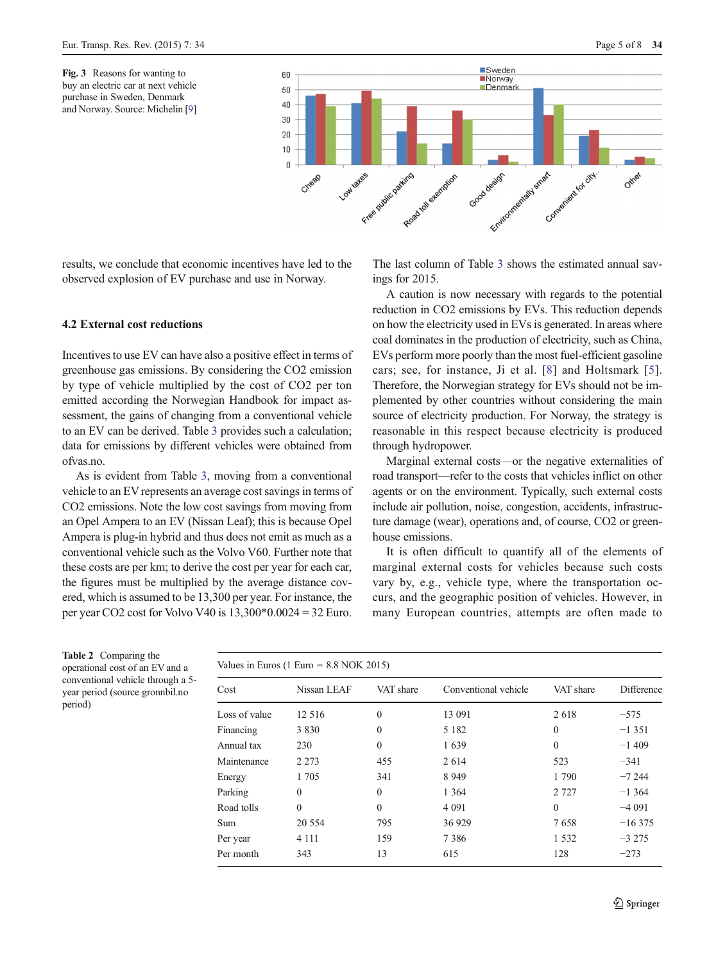

<span id="page-4-0"></span>results, we conclude that economic incentives have led to the observed explosion of EV purchase and use in Norway.

# 4.2 External cost reductions

Incentives to use EV can have also a positive effect in terms of greenhouse gas emissions. By considering the CO2 emission by type of vehicle multiplied by the cost of CO2 per ton emitted according the Norwegian Handbook for impact assessment, the gains of changing from a conventional vehicle to an EV can be derived. Table [3](#page-5-0) provides such a calculation; data for emissions by different vehicles were obtained from ofvas.no.

As is evident from Table [3](#page-5-0), moving from a conventional vehicle to an EV represents an average cost savings in terms of CO2 emissions. Note the low cost savings from moving from an Opel Ampera to an EV (Nissan Leaf); this is because Opel Ampera is plug-in hybrid and thus does not emit as much as a conventional vehicle such as the Volvo V60. Further note that these costs are per km; to derive the cost per year for each car, the figures must be multiplied by the average distance covered, which is assumed to be 13,300 per year. For instance, the per year CO2 cost for Volvo V40 is 13,300\*0.0024 = 32 Euro.

The last column of Table [3](#page-5-0) shows the estimated annual savings for 2015.

A caution is now necessary with regards to the potential reduction in CO2 emissions by EVs. This reduction depends on how the electricity used in EVs is generated. In areas where coal dominates in the production of electricity, such as China, EVs perform more poorly than the most fuel-efficient gasoline cars; see, for instance, Ji et al. [[8](#page-7-0)] and Holtsmark [[5](#page-7-0)]. Therefore, the Norwegian strategy for EVs should not be implemented by other countries without considering the main source of electricity production. For Norway, the strategy is reasonable in this respect because electricity is produced through hydropower.

Marginal external costs—or the negative externalities of road transport—refer to the costs that vehicles inflict on other agents or on the environment. Typically, such external costs include air pollution, noise, congestion, accidents, infrastructure damage (wear), operations and, of course, CO2 or greenhouse emissions.

It is often difficult to quantify all of the elements of marginal external costs for vehicles because such costs vary by, e.g., vehicle type, where the transportation occurs, and the geographic position of vehicles. However, in many European countries, attempts are often made to

Table 2 Comparing the operational cost of an EV and a conventional vehicle through a 5 year period (source gronnbil.no period)

| Values in Euros (1 Euro = $8.8$ NOK 2015) |             |           |                      |              |            |
|-------------------------------------------|-------------|-----------|----------------------|--------------|------------|
| Cost                                      | Nissan LEAF | VAT share | Conventional vehicle | VAT share    | Difference |
| Loss of value                             | 12 5 16     | $\theta$  | 13 091               | 2618         | $-575$     |
| Financing                                 | 3 8 3 0     | $\Omega$  | 5 1 8 2              | $\mathbf{0}$ | $-1351$    |
| Annual tax                                | 230         | $\Omega$  | 1639                 | $\theta$     | $-1409$    |
| Maintenance                               | 2 2 7 3     | 455       | 2 6 14               | 523          | $-341$     |
| Energy                                    | 1 7 0 5     | 341       | 8 9 4 9              | 1 790        | $-7244$    |
| Parking                                   | $\Omega$    | $\Omega$  | 1 3 6 4              | 2 7 2 7      | $-1,364$   |
| Road tolls                                | $\theta$    | $\Omega$  | 4 0 9 1              | $\theta$     | $-4091$    |
| Sum                                       | 20 5 5 4    | 795       | 36929                | 7658         | $-16375$   |
| Per year                                  | 4 1 1 1     | 159       | 7386                 | 1 5 3 2      | $-3275$    |
| Per month                                 | 343         | 13        | 615                  | 128          | $-273$     |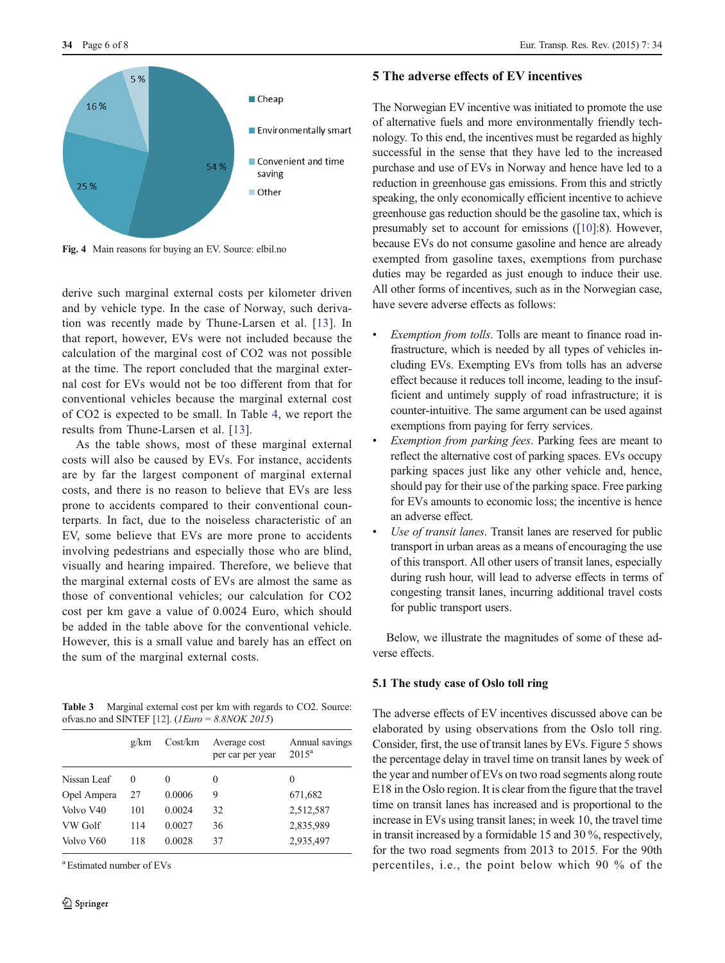<span id="page-5-0"></span>

Fig. 4 Main reasons for buying an EV. Source: elbil.no

derive such marginal external costs per kilometer driven and by vehicle type. In the case of Norway, such derivation was recently made by Thune-Larsen et al. [\[13](#page-7-0)]. In that report, however, EVs were not included because the calculation of the marginal cost of CO2 was not possible at the time. The report concluded that the marginal external cost for EVs would not be too different from that for conventional vehicles because the marginal external cost of CO2 is expected to be small. In Table [4,](#page-6-0) we report the results from Thune-Larsen et al. [\[13\]](#page-7-0).

As the table shows, most of these marginal external costs will also be caused by EVs. For instance, accidents are by far the largest component of marginal external costs, and there is no reason to believe that EVs are less prone to accidents compared to their conventional counterparts. In fact, due to the noiseless characteristic of an EV, some believe that EVs are more prone to accidents involving pedestrians and especially those who are blind, visually and hearing impaired. Therefore, we believe that the marginal external costs of EVs are almost the same as those of conventional vehicles; our calculation for CO2 cost per km gave a value of 0.0024 Euro, which should be added in the table above for the conventional vehicle. However, this is a small value and barely has an effect on the sum of the marginal external costs.

Table 3 Marginal external cost per km with regards to CO2. Source: ofvas.no and SINTEF [\[12](#page-7-0)]. (*IEuro* =  $8.8NOK$  2015)

|             | g/km | Cost/km | Average cost<br>per car per year | Annual savings<br>$2015^a$ |
|-------------|------|---------|----------------------------------|----------------------------|
| Nissan Leaf | 0    | 0       | 0                                | 0                          |
| Opel Ampera | 27   | 0.0006  | 9                                | 671,682                    |
| Volvo V40   | 101  | 0.0024  | 32                               | 2,512,587                  |
| VW Golf     | 114  | 0.0027  | 36                               | 2,835,989                  |
| Volvo V60   | 118  | 0.0028  | 37                               | 2,935,497                  |

a Estimated number of EVs

# 5 The adverse effects of EV incentives

The Norwegian EV incentive was initiated to promote the use of alternative fuels and more environmentally friendly technology. To this end, the incentives must be regarded as highly successful in the sense that they have led to the increased purchase and use of EVs in Norway and hence have led to a reduction in greenhouse gas emissions. From this and strictly speaking, the only economically efficient incentive to achieve greenhouse gas reduction should be the gasoline tax, which is presumably set to account for emissions ([\[10\]](#page-7-0):8). However, because EVs do not consume gasoline and hence are already exempted from gasoline taxes, exemptions from purchase duties may be regarded as just enough to induce their use. All other forms of incentives, such as in the Norwegian case, have severe adverse effects as follows:

- Exemption from tolls. Tolls are meant to finance road infrastructure, which is needed by all types of vehicles including EVs. Exempting EVs from tolls has an adverse effect because it reduces toll income, leading to the insufficient and untimely supply of road infrastructure; it is counter-intuitive. The same argument can be used against exemptions from paying for ferry services.
- Exemption from parking fees. Parking fees are meant to reflect the alternative cost of parking spaces. EVs occupy parking spaces just like any other vehicle and, hence, should pay for their use of the parking space. Free parking for EVs amounts to economic loss; the incentive is hence an adverse effect.
- Use of transit lanes. Transit lanes are reserved for public transport in urban areas as a means of encouraging the use of this transport. All other users of transit lanes, especially during rush hour, will lead to adverse effects in terms of congesting transit lanes, incurring additional travel costs for public transport users.

Below, we illustrate the magnitudes of some of these adverse effects.

# 5.1 The study case of Oslo toll ring

The adverse effects of EV incentives discussed above can be elaborated by using observations from the Oslo toll ring. Consider, first, the use of transit lanes by EVs. Figure [5](#page-6-0) shows the percentage delay in travel time on transit lanes by week of the year and number of EVs on two road segments along route E18 in the Oslo region. It is clear from the figure that the travel time on transit lanes has increased and is proportional to the increase in EVs using transit lanes; in week 10, the travel time in transit increased by a formidable 15 and 30 %, respectively, for the two road segments from 2013 to 2015. For the 90th percentiles, i.e., the point below which 90 % of the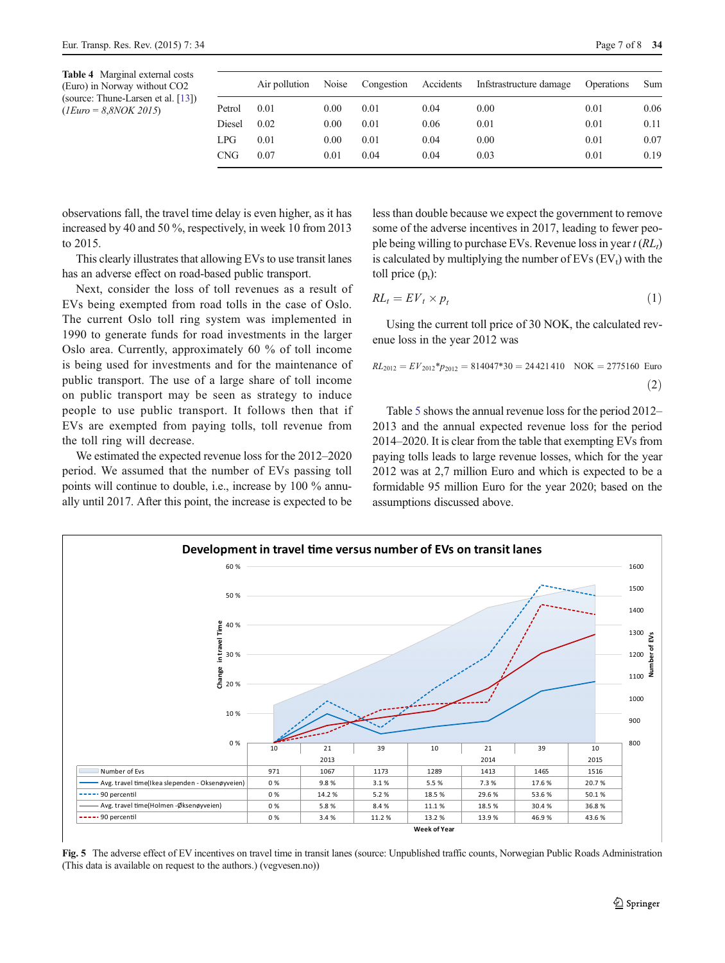<span id="page-6-0"></span>

| <b>Table 4</b> Marginal external costs |
|----------------------------------------|
| (Euro) in Norway without CO2           |
| (source: Thune-Larsen et al. [13])     |
| $(IEuro = 8,8NOK 2015)$                |

|            | Air pollution | Noise |      |      | Congestion Accidents Infstrastructure damage | Operations | Sum  |
|------------|---------------|-------|------|------|----------------------------------------------|------------|------|
| Petrol     | 0.01          | 0.00  | 0.01 | 0.04 | 0.00                                         | 0.01       | 0.06 |
| Diesel     | 0.02          | 0.00  | 0.01 | 0.06 | 0.01                                         | 0.01       | 0.11 |
| LPG        | 0.01          | 0.00  | 0.01 | 0.04 | 0.00                                         | 0.01       | 0.07 |
| <b>CNG</b> | 0.07          | 0.01  | 0.04 | 0.04 | 0.03                                         | 0.01       | 0.19 |
|            |               |       |      |      |                                              |            |      |

observations fall, the travel time delay is even higher, as it has increased by 40 and 50 %, respectively, in week 10 from 2013 to 2015.

This clearly illustrates that allowing EVs to use transit lanes has an adverse effect on road-based public transport.

Next, consider the loss of toll revenues as a result of EVs being exempted from road tolls in the case of Oslo. The current Oslo toll ring system was implemented in 1990 to generate funds for road investments in the larger Oslo area. Currently, approximately 60 % of toll income is being used for investments and for the maintenance of public transport. The use of a large share of toll income on public transport may be seen as strategy to induce people to use public transport. It follows then that if EVs are exempted from paying tolls, toll revenue from the toll ring will decrease.

We estimated the expected revenue loss for the 2012–2020 period. We assumed that the number of EVs passing toll points will continue to double, i.e., increase by 100 % annually until 2017. After this point, the increase is expected to be less than double because we expect the government to remove some of the adverse incentives in 2017, leading to fewer people being willing to purchase EVs. Revenue loss in year  $t (RL<sub>t</sub>)$ is calculated by multiplying the number of  $EV_s$  ( $EV_t$ ) with the toll price  $(p_t)$ :

$$
RL_t = EV_t \times p_t \tag{1}
$$

Using the current toll price of 30 NOK, the calculated revenue loss in the year 2012 was

$$
RL_{2012} = EV_{2012} * p_{2012} = 814047 * 30 = 24421410
$$
 
$$
NOK = 2775160
$$
 Euro (2)

Table [5](#page-7-0) shows the annual revenue loss for the period 2012– 2013 and the annual expected revenue loss for the period 2014–2020. It is clear from the table that exempting EVs from paying tolls leads to large revenue losses, which for the year 2012 was at 2,7 million Euro and which is expected to be a formidable 95 million Euro for the year 2020; based on the assumptions discussed above.



Fig. 5 The adverse effect of EV incentives on travel time in transit lanes (source: Unpublished traffic counts, Norwegian Public Roads Administration (This data is available on request to the authors.) (vegvesen.no))